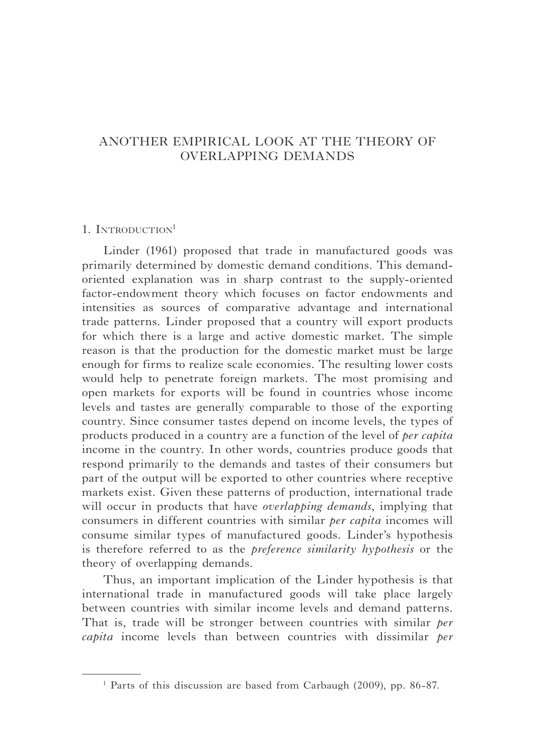# ANOTHER EMPIRICAL LOOK AT THE THEORY OF OVERLAPPING DEMANDS

## 1. INTRODUCTION<sup>1</sup>

Linder (1961) proposed that trade in manufactured goods was primarily determined by domestic demand conditions. This demandoriented explanation was in sharp contrast to the supply-oriented factor-endowment theory which focuses on factor endowments and intensities as sources of comparative advantage and international trade patterns. Linder proposed that a country will export products for which there is a large and active domestic market. The simple reason is that the production for the domestic market must be large enough for firms to realize scale economies. The resulting lower costs would help to penetrate foreign markets. The most promising and open markets for exports will be found in countries whose income levels and tastes are generally comparable to those of the exporting country. Since consumer tastes depend on income levels, the types of products produced in a country are a function of the level of *per capita* income in the country. In other words, countries produce goods that respond primarily to the demands and tastes of their consumers but part of the output will be exported to other countries where receptive markets exist. Given these patterns of production, international trade will occur in products that have *overlapping demands*, implying that consumers in different countries with similar *per capita* incomes will consume similar types of manufactured goods. Linder's hypothesis is therefore referred to as the *preference similarity hypothesis* or the theory of overlapping demands.

Thus, an important implication of the Linder hypothesis is that international trade in manufactured goods will take place largely between countries with similar income levels and demand patterns. That is, trade will be stronger between countries with similar *per capita* income levels than between countries with dissimilar *per* 

<sup>&</sup>lt;sup>1</sup> Parts of this discussion are based from Carbaugh (2009), pp. 86-87.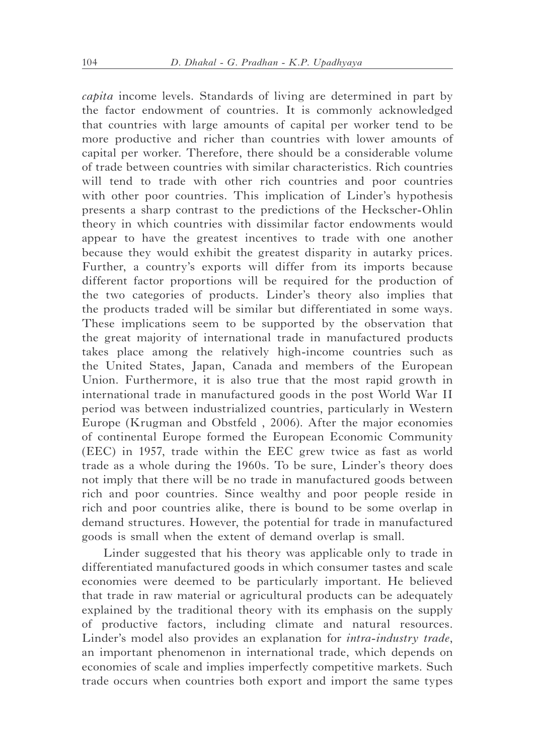*capita* income levels. Standards of living are determined in part by the factor endowment of countries. It is commonly acknowledged that countries with large amounts of capital per worker tend to be more productive and richer than countries with lower amounts of capital per worker. Therefore, there should be a considerable volume of trade between countries with similar characteristics. Rich countries will tend to trade with other rich countries and poor countries with other poor countries. This implication of Linder's hypothesis presents a sharp contrast to the predictions of the Heckscher-Ohlin theory in which countries with dissimilar factor endowments would appear to have the greatest incentives to trade with one another because they would exhibit the greatest disparity in autarky prices. Further, a country's exports will differ from its imports because different factor proportions will be required for the production of the two categories of products. Linder's theory also implies that the products traded will be similar but differentiated in some ways. These implications seem to be supported by the observation that the great majority of international trade in manufactured products takes place among the relatively high-income countries such as the United States, Japan, Canada and members of the European Union. Furthermore, it is also true that the most rapid growth in international trade in manufactured goods in the post World War II period was between industrialized countries, particularly in Western Europe (Krugman and Obstfeld , 2006). After the major economies of continental Europe formed the European Economic Community (EEC) in 1957, trade within the EEC grew twice as fast as world trade as a whole during the 1960s. To be sure, Linder's theory does not imply that there will be no trade in manufactured goods between rich and poor countries. Since wealthy and poor people reside in rich and poor countries alike, there is bound to be some overlap in demand structures. However, the potential for trade in manufactured goods is small when the extent of demand overlap is small.

Linder suggested that his theory was applicable only to trade in differentiated manufactured goods in which consumer tastes and scale economies were deemed to be particularly important. He believed that trade in raw material or agricultural products can be adequately explained by the traditional theory with its emphasis on the supply of productive factors, including climate and natural resources. Linder's model also provides an explanation for *intra-industry trade*, an important phenomenon in international trade, which depends on economies of scale and implies imperfectly competitive markets. Such trade occurs when countries both export and import the same types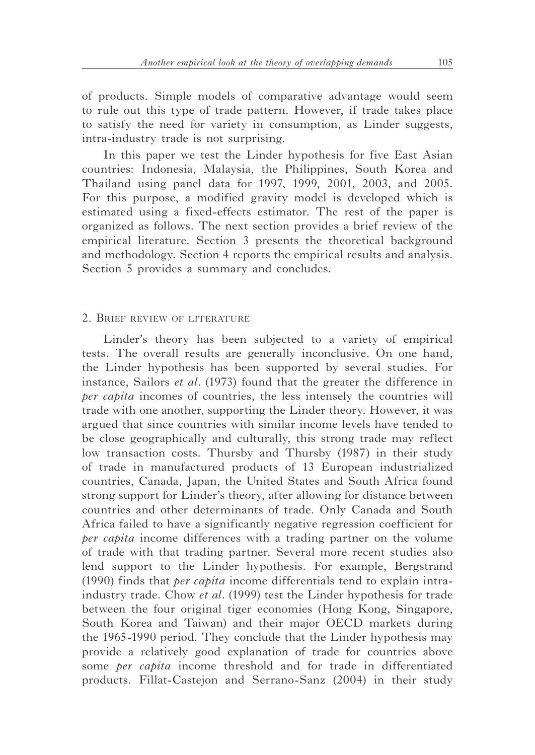of products. Simple models of comparative advantage would seem to rule out this type of trade pattern. However, if trade takes place to satisfy the need for variety in consumption, as Linder suggests, intra-industry trade is not surprising.

In this paper we test the Linder hypothesis for five East Asian countries: Indonesia, Malaysia, the Philippines, South Korea and Thailand using panel data for 1997, 1999, 2001, 2003, and 2005. For this purpose, a modified gravity model is developed which is estimated using a fixed-effects estimator. The rest of the paper is organized as follows. The next section provides a brief review of the empirical literature. Section 3 presents the theoretical background and methodology. Section 4 reports the empirical results and analysis. Section 5 provides a summary and concludes.

### 2. Brief review of literature

Linder's theory has been subjected to a variety of empirical tests. The overall results are generally inconclusive. On one hand, the Linder hypothesis has been supported by several studies. For instance, Sailors *et al.* (1973) found that the greater the difference in *per capita* incomes of countries, the less intensely the countries will trade with one another, supporting the Linder theory. However, it was argued that since countries with similar income levels have tended to be close geographically and culturally, this strong trade may reflect low transaction costs. Thursby and Thursby (1987) in their study of trade in manufactured products of 13 European industrialized countries, Canada, Japan, the United States and South Africa found strong support for Linder's theory, after allowing for distance between countries and other determinants of trade. Only Canada and South Africa failed to have a significantly negative regression coefficient for *per capita* income differences with a trading partner on the volume of trade with that trading partner. Several more recent studies also lend support to the Linder hypothesis. For example, Bergstrand (1990) finds that *per capita* income differentials tend to explain intraindustry trade. Chow *et al.* (1999) test the Linder hypothesis for trade between the four original tiger economies (Hong Kong, Singapore, South Korea and Taiwan) and their major OECD markets during the 1965-1990 period. They conclude that the Linder hypothesis may provide a relatively good explanation of trade for countries above some *per capita* income threshold and for trade in differentiated products. Fillat-Castejon and Serrano-Sanz (2004) in their study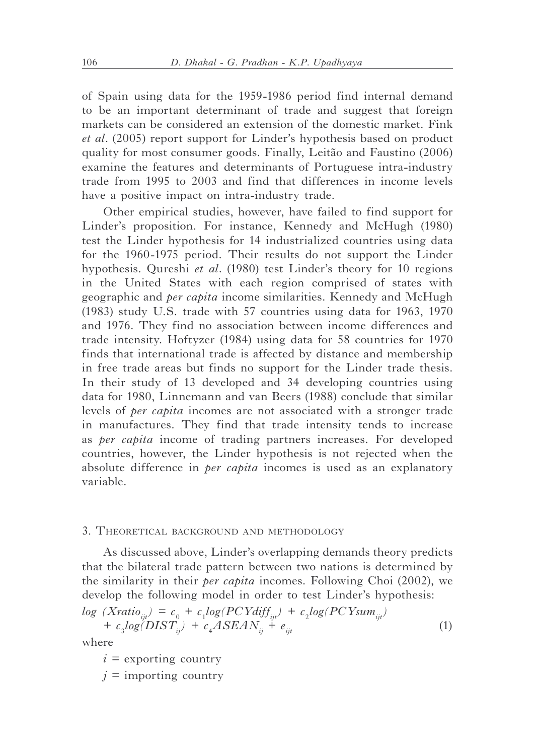of Spain using data for the 1959-1986 period find internal demand to be an important determinant of trade and suggest that foreign markets can be considered an extension of the domestic market. Fink *et al.* (2005) report support for Linder's hypothesis based on product quality for most consumer goods. Finally, Leitão and Faustino (2006) examine the features and determinants of Portuguese intra-industry trade from 1995 to 2003 and find that differences in income levels have a positive impact on intra-industry trade.

Other empirical studies, however, have failed to find support for Linder's proposition. For instance, Kennedy and McHugh (1980) test the Linder hypothesis for 14 industrialized countries using data for the 1960-1975 period. Their results do not support the Linder hypothesis. Qureshi *et al.* (1980) test Linder's theory for 10 regions in the United States with each region comprised of states with geographic and *per capita* income similarities. Kennedy and McHugh (1983) study U.S. trade with 57 countries using data for 1963, 1970 and 1976. They find no association between income differences and trade intensity. Hoftyzer (1984) using data for 58 countries for 1970 finds that international trade is affected by distance and membership in free trade areas but finds no support for the Linder trade thesis. In their study of 13 developed and 34 developing countries using data for 1980, Linnemann and van Beers (1988) conclude that similar levels of *per capita* incomes are not associated with a stronger trade in manufactures. They find that trade intensity tends to increase as *per capita* income of trading partners increases. For developed countries, however, the Linder hypothesis is not rejected when the absolute difference in *per capita* incomes is used as an explanatory variable.

#### 3. Theoretical background and methodology

As discussed above, Linder's overlapping demands theory predicts that the bilateral trade pattern between two nations is determined by the similarity in their *per capita* incomes. Following Choi (2002), we develop the following model in order to test Linder's hypothesis:

$$
log (Xratio_{ijt}) = c_0 + c_1 log(PCYdiff_{ijt}) + c_2 log(PCYsum_{ijt}) + c_3 log(DIST_{ij}) + c_4 ASEAN_{ij} + e_{ijt}
$$
\n(1)

where

 $i =$  exporting country

 $j =$  importing country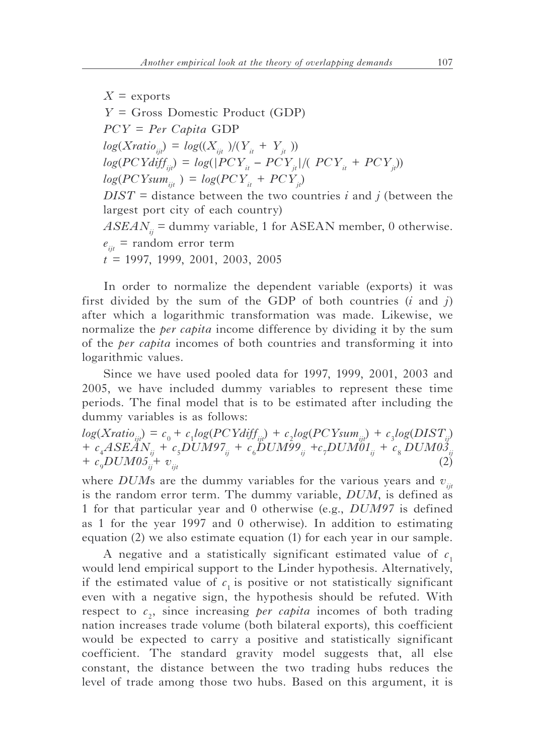$X =$  exports *Y* = Gross Domestic Product (GDP) *PCY* = *Per Capita* GDP  $log(Xratio_{ii}) = log((X_{ii}/)(Y_{it} + Y_{it}))$  $log(PCYdiff_{ijt}) = log(|PCY_{it} - PCY_{jt}|/(~PCY_{it} + PCY_{jt})$  $log(PCYsum_{ii} = log(PCY_{it} + PCY_{it})$  $DIST = distance between the two countries *i* and *j* (between the$ largest port city of each country)  $ASEAN_{ii}$  = dummy variable, 1 for ASEAN member, 0 otherwise.  $e_{ii}$  = random error term *t =* 1997, 1999, 2001, 2003, 2005

In order to normalize the dependent variable (exports) it was first divided by the sum of the GDP of both countries (*i* and *j*) after which a logarithmic transformation was made. Likewise, we normalize the *per capita* income difference by dividing it by the sum of the *per capita* incomes of both countries and transforming it into logarithmic values.

Since we have used pooled data for 1997, 1999, 2001, 2003 and 2005, we have included dummy variables to represent these time periods. The final model that is to be estimated after including the dummy variables is as follows:

 $log(Xratio_{ijt}) = c_0 + c_1 log(PCYdiff_{ijt}) + c_2 log(PCYsum_{ijt}) + c_3 log(DIST_{ij})$ *+ c*<sup>4</sup> *ASEANij + c*<sup>5</sup> *DUM97ij + c*<sup>6</sup> *DUM99ij +c*<sup>7</sup> *DUM01ij + c*<sup>8</sup> *DUM03ij + c*<sub>9</sub>*DUM05*<sup> $\frac{1}{ii}$ *+ v*<sub>iit</sub></sup>  $DUM05^{\text{+}}_{ij}$  v<sub>ijt</sub> (2)

where *DUM*s are the dummy variables for the various years and  $v_{ij}$ is the random error term. The dummy variable, *DUM*, is defined as 1 for that particular year and 0 otherwise (e.g., *DUM97* is defined as 1 for the year 1997 and 0 otherwise). In addition to estimating equation (2) we also estimate equation (1) for each year in our sample.

A negative and a statistically significant estimated value of  $c<sub>1</sub>$ would lend empirical support to the Linder hypothesis. Alternatively, if the estimated value of  $c<sub>1</sub>$  is positive or not statistically significant even with a negative sign, the hypothesis should be refuted. With respect to  $c_2$ , since increasing *per capita* incomes of both trading nation increases trade volume (both bilateral exports), this coefficient would be expected to carry a positive and statistically significant coefficient. The standard gravity model suggests that, all else constant, the distance between the two trading hubs reduces the level of trade among those two hubs. Based on this argument, it is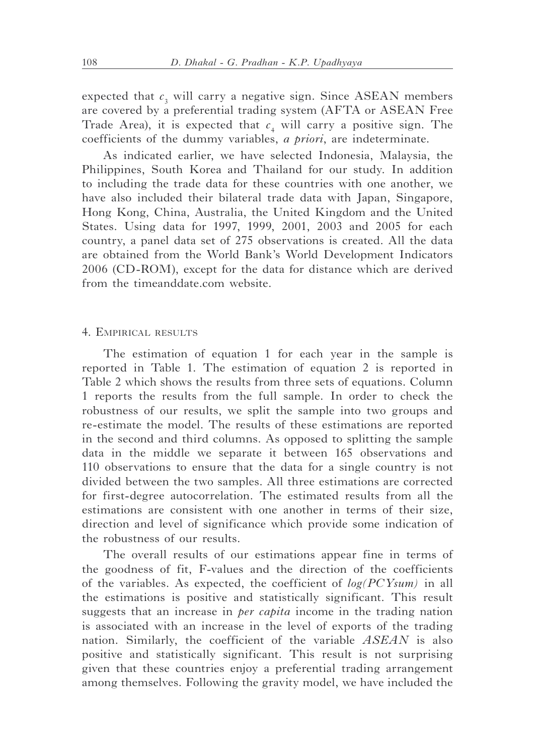expected that  $c<sub>3</sub>$  will carry a negative sign. Since ASEAN members are covered by a preferential trading system (AFTA or ASEAN Free Trade Area), it is expected that  $c_4$  will carry a positive sign. The coefficients of the dummy variables, *a priori*, are indeterminate.

As indicated earlier, we have selected Indonesia, Malaysia, the Philippines, South Korea and Thailand for our study. In addition to including the trade data for these countries with one another, we have also included their bilateral trade data with Japan, Singapore, Hong Kong, China, Australia, the United Kingdom and the United States. Using data for 1997, 1999, 2001, 2003 and 2005 for each country, a panel data set of 275 observations is created. All the data are obtained from the World Bank's World Development Indicators 2006 (CD-ROM), except for the data for distance which are derived from the timeanddate.com website.

### 4. Empirical results

The estimation of equation 1 for each year in the sample is reported in Table 1. The estimation of equation 2 is reported in Table 2 which shows the results from three sets of equations. Column 1 reports the results from the full sample. In order to check the robustness of our results, we split the sample into two groups and re-estimate the model. The results of these estimations are reported in the second and third columns. As opposed to splitting the sample data in the middle we separate it between 165 observations and 110 observations to ensure that the data for a single country is not divided between the two samples. All three estimations are corrected for first-degree autocorrelation. The estimated results from all the estimations are consistent with one another in terms of their size, direction and level of significance which provide some indication of the robustness of our results.

The overall results of our estimations appear fine in terms of the goodness of fit, F-values and the direction of the coefficients of the variables. As expected, the coefficient of *log(PCYsum)* in all the estimations is positive and statistically significant. This result suggests that an increase in *per capita* income in the trading nation is associated with an increase in the level of exports of the trading nation. Similarly, the coefficient of the variable *ASEAN* is also positive and statistically significant. This result is not surprising given that these countries enjoy a preferential trading arrangement among themselves. Following the gravity model, we have included the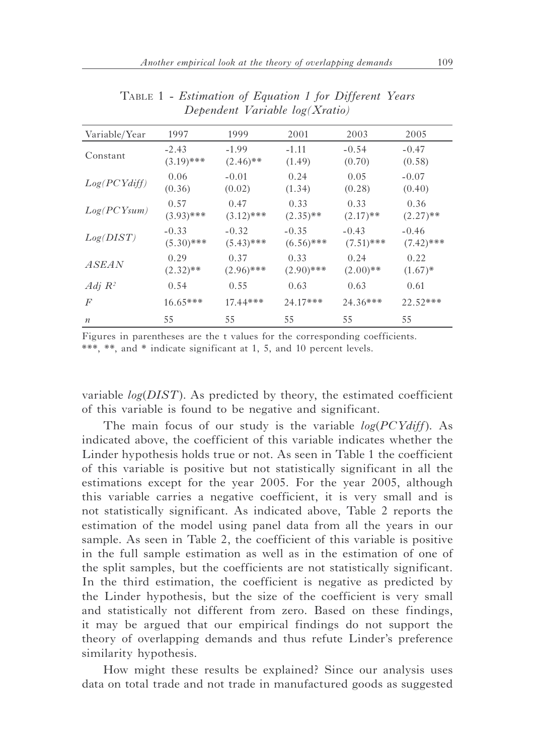| Variable/Year    | 1997         | 1999         | 2001         | 2003         | 2005         |
|------------------|--------------|--------------|--------------|--------------|--------------|
| Constant         | $-2.43$      | $-1.99$      | $-1.11$      | $-0.54$      | $-0.47$      |
|                  | $(3.19)$ *** | $(2.46)$ **  | (1.49)       | (0.70)       | (0.58)       |
| Log(PCYdiff)     | 0.06         | $-0.01$      | 0.24         | 0.05         | $-0.07$      |
|                  | (0.36)       | (0.02)       | (1.34)       | (0.28)       | (0.40)       |
| Log(PCYsum)      | 0.57         | 0.47         | 0.33         | 0.33         | 0.36         |
|                  | $(3.93)$ *** | $(3.12)$ *** | $(2.35)$ **  | $(2.17)$ **  | $(2.27)$ **  |
| Log(DIST)        | $-0.33$      | $-0.32$      | $-0.35$      | $-0.43$      | $-0.46$      |
|                  | $(5.30)$ *** | $(5.43)$ *** | $(6.56)$ *** | $(7.51)$ *** | $(7.42)$ *** |
| <i>ASEAN</i>     | 0.29         | 0.37         | 0.33         | 0.24         | 0.22         |
|                  | $(2.32)$ **  | $(2.96)$ *** | $(2.90)$ *** | $(2.00)$ **  | $(1.67)$ *   |
| Adj $R^2$        | 0.54         | 0.55         | 0.63         | 0.63         | 0.61         |
| $\overline{F}$   | $16.65***$   | $17.44***$   | 24.17***     | $24.36***$   | 22.52***     |
| $\boldsymbol{n}$ | 55           | 55           | 55           | 55           | 55           |

Table 1 - *Estimation of Equation 1 for Different Years Dependent Variable log(Xratio)*

Figures in parentheses are the t values for the corresponding coefficients. \*\*\*, \*\*, and \* indicate significant at 1, 5, and 10 percent levels.

variable *log*(*DIST*)*.* As predicted by theory, the estimated coefficient of this variable is found to be negative and significant.

The main focus of our study is the variable *log*(*PCYdiff*). As indicated above, the coefficient of this variable indicates whether the Linder hypothesis holds true or not. As seen in Table 1 the coefficient of this variable is positive but not statistically significant in all the estimations except for the year 2005. For the year 2005, although this variable carries a negative coefficient, it is very small and is not statistically significant. As indicated above, Table 2 reports the estimation of the model using panel data from all the years in our sample. As seen in Table 2, the coefficient of this variable is positive in the full sample estimation as well as in the estimation of one of the split samples, but the coefficients are not statistically significant. In the third estimation, the coefficient is negative as predicted by the Linder hypothesis, but the size of the coefficient is very small and statistically not different from zero. Based on these findings, it may be argued that our empirical findings do not support the theory of overlapping demands and thus refute Linder's preference similarity hypothesis.

How might these results be explained? Since our analysis uses data on total trade and not trade in manufactured goods as suggested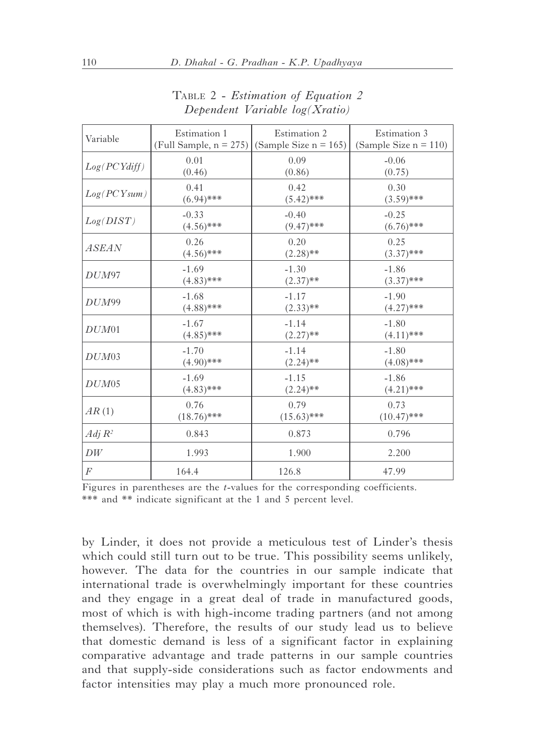| Variable           | Estimation 1  | Estimation 2<br>(Full Sample, $n = 275$ ) (Sample Size $n = 165$ ) | Estimation 3<br>(Sample Size $n = 110$ ) |
|--------------------|---------------|--------------------------------------------------------------------|------------------------------------------|
| Log(PCYdiff)       | 0.01          | 0.09                                                               | $-0.06$                                  |
|                    | (0.46)        | (0.86)                                                             | (0.75)                                   |
| Log(PCYsum)        | 0.41          | 0.42                                                               | 0.30                                     |
|                    | $(6.94)$ ***  | $(5.42)$ ***                                                       | $(3.59)$ ***                             |
| Log(DIST)          | $-0.33$       | $-0.40$                                                            | $-0.25$                                  |
|                    | $(4.56)$ ***  | $(9.47)$ ***                                                       | $(6.76)$ ***                             |
| <i>ASEAN</i>       | 0.26          | 0.20                                                               | 0.25                                     |
|                    | $(4.56)$ ***  | $(2.28)$ **                                                        | $(3.37)$ ***                             |
| DUM97              | $-1.69$       | $-1.30$                                                            | $-1.86$                                  |
|                    | $(4.83)$ ***  | $(2.37)$ **                                                        | $(3.37)$ ***                             |
| DUM99              | $-1.68$       | $-1.17$                                                            | $-1.90$                                  |
|                    | $(4.88)$ ***  | $(2.33)$ **                                                        | $(4.27)$ ***                             |
| DUM01              | $-1.67$       | $-1.14$                                                            | $-1.80$                                  |
|                    | $(4.85)$ ***  | $(2.27)$ **                                                        | $(4.11)$ ***                             |
| DUM03              | $-1.70$       | $-1.14$                                                            | $-1.80$                                  |
|                    | $(4.90)$ ***  | $(2.24)$ **                                                        | $(4.08)$ ***                             |
| $DUM$ 05           | $-1.69$       | $-1.15$                                                            | $-1.86$                                  |
|                    | $(4.83)$ ***  | $(2.24)$ **                                                        | $(4.21)$ ***                             |
| AR(1)              | 0.76          | 0.79                                                               | 0.73                                     |
|                    | $(18.76)$ *** | $(15.63)$ ***                                                      | $(10.47)$ ***                            |
| Adj R <sup>2</sup> | 0.843         | 0.873                                                              | 0.796                                    |
| DW                 | 1.993         | 1.900                                                              | 2.200                                    |
| $\boldsymbol{F}$   | 164.4         | 126.8                                                              | 47.99                                    |

Table 2 - *Estimation of Equation 2 Dependent Variable log(Xratio)*

Figures in parentheses are the *t*-values for the corresponding coefficients. \*\*\* and \*\* indicate significant at the 1 and 5 percent level.

by Linder, it does not provide a meticulous test of Linder's thesis which could still turn out to be true. This possibility seems unlikely, however. The data for the countries in our sample indicate that international trade is overwhelmingly important for these countries and they engage in a great deal of trade in manufactured goods, most of which is with high-income trading partners (and not among themselves). Therefore, the results of our study lead us to believe that domestic demand is less of a significant factor in explaining comparative advantage and trade patterns in our sample countries and that supply-side considerations such as factor endowments and factor intensities may play a much more pronounced role.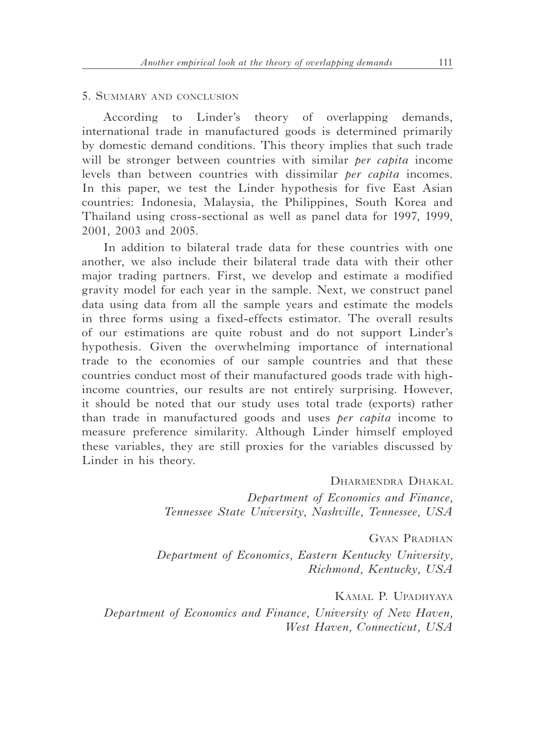### 5. Summary and conclusion

According to Linder's theory of overlapping demands, international trade in manufactured goods is determined primarily by domestic demand conditions. This theory implies that such trade will be stronger between countries with similar *per capita* income levels than between countries with dissimilar *per capita* incomes. In this paper, we test the Linder hypothesis for five East Asian countries: Indonesia, Malaysia, the Philippines, South Korea and Thailand using cross-sectional as well as panel data for 1997, 1999, 2001, 2003 and 2005.

In addition to bilateral trade data for these countries with one another, we also include their bilateral trade data with their other major trading partners. First, we develop and estimate a modified gravity model for each year in the sample. Next, we construct panel data using data from all the sample years and estimate the models in three forms using a fixed-effects estimator. The overall results of our estimations are quite robust and do not support Linder's hypothesis. Given the overwhelming importance of international trade to the economies of our sample countries and that these countries conduct most of their manufactured goods trade with highincome countries, our results are not entirely surprising. However, it should be noted that our study uses total trade (exports) rather than trade in manufactured goods and uses *per capita* income to measure preference similarity. Although Linder himself employed these variables, they are still proxies for the variables discussed by Linder in his theory.

DHARMENDRA DHAKAL

*Department of Economics and Finance, Tennessee State University, Nashville, Tennessee, USA*

Gyan Pradhan

*Department of Economics, Eastern Kentucky University, Richmond, Kentucky, USA*

Kamal P. Upadhyaya *Department of Economics and Finance, University of New Haven, West Haven, Connecticut, USA*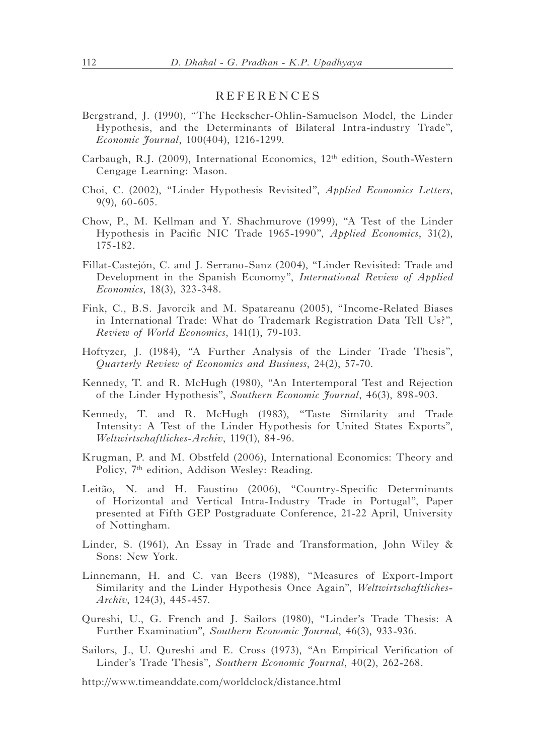## REFERENCES

- Bergstrand, J*.* (1990), "The Heckscher-Ohlin-Samuelson Model, the Linder Hypothesis, and the Determinants of Bilateral Intra-industry Trade", *Economic Journal*, 100(404), 1216-1299.
- Carbaugh, R.J. (2009), International Economics, 12th edition, South-Western Cengage Learning: Mason.
- Choi, C. (2002), "Linder Hypothesis Revisited", *Applied Economics Letters*, 9(9), 60-605.
- Chow, P., M. Kellman and Y. Shachmurove (1999), "A Test of the Linder Hypothesis in Pacific NIC Trade 1965-1990", *Applied Economics*, 31(2), 175-182.
- Fillat-Castejón, C. and J. Serrano-Sanz (2004), "Linder Revisited: Trade and Development in the Spanish Economy", *International Review of Applied Economics*, 18(3), 323-348.
- Fink, C., B.S. Javorcik and M. Spatareanu (2005), "Income-Related Biases in International Trade: What do Trademark Registration Data Tell Us?", *Review of World Economics*, 141(1), 79-103.
- Hoftyzer, J. (1984), "A Further Analysis of the Linder Trade Thesis", *Quarterly Review of Economics and Business*, 24(2), 57-70.
- Kennedy, T. and R. McHugh (1980), "An Intertemporal Test and Rejection of the Linder Hypothesis", *Southern Economic Journal*, 46(3), 898-903.
- Kennedy, T. and R. McHugh (1983), "Taste Similarity and Trade Intensity: A Test of the Linder Hypothesis for United States Exports", *Weltwirtschaftliches-Archiv*, 119(1), 84-96.
- Krugman, P. and M. Obstfeld (2006), International Economics: Theory and Policy, 7<sup>th</sup> edition, Addison Wesley: Reading.
- Leitão, N. and H. Faustino (2006), "Country-Specific Determinants of Horizontal and Vertical Intra-Industry Trade in Portugal", Paper presented at Fifth GEP Postgraduate Conference, 21-22 April, University of Nottingham.
- Linder, S. (1961), An Essay in Trade and Transformation, John Wiley & Sons: New York.
- Linnemann, H. and C. van Beers (1988), "Measures of Export-Import Similarity and the Linder Hypothesis Once Again", *Weltwirtschaftliches-Archiv*, 124(3), 445-457.
- Qureshi, U., G. French and J. Sailors (1980), "Linder's Trade Thesis: A Further Examination", *Southern Economic Journal*, 46(3), 933-936.
- Sailors, J., U. Qureshi and E. Cross (1973), "An Empirical Verification of Linder's Trade Thesis", *Southern Economic Journal*, 40(2), 262-268.

http://www.timeanddate.com/worldclock/distance.html